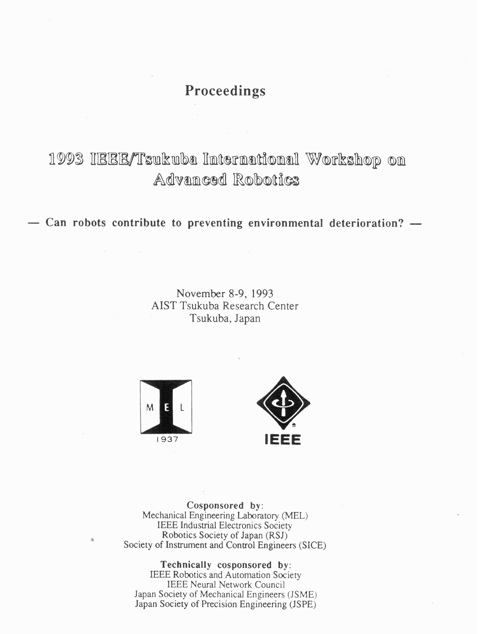## **Proceedings**

# 1993 IBBB/Tsukuba International Workshop on Advanced Robotics

 $-$  Can robots contribute to preventing environmental deterioration?  $-$ 

November 8-9, 1993 AIST Tsukuba Research Center Tsukuba, Japan





**Cosponsored by:**  Mechanical Engineering Laboratory (MEL) IEEE Industrial Electronics Society Robotics Society of Japan (RSJ) Society of Instrument and Control Engineers (SICE)

**Technically cosponsored by:** 

IEEE Robotics and Automation Society IEEE Neural Network Council Japan Society of Mechanical Engineers (JSME) Japan Society of Precision Engineering (JSPE)